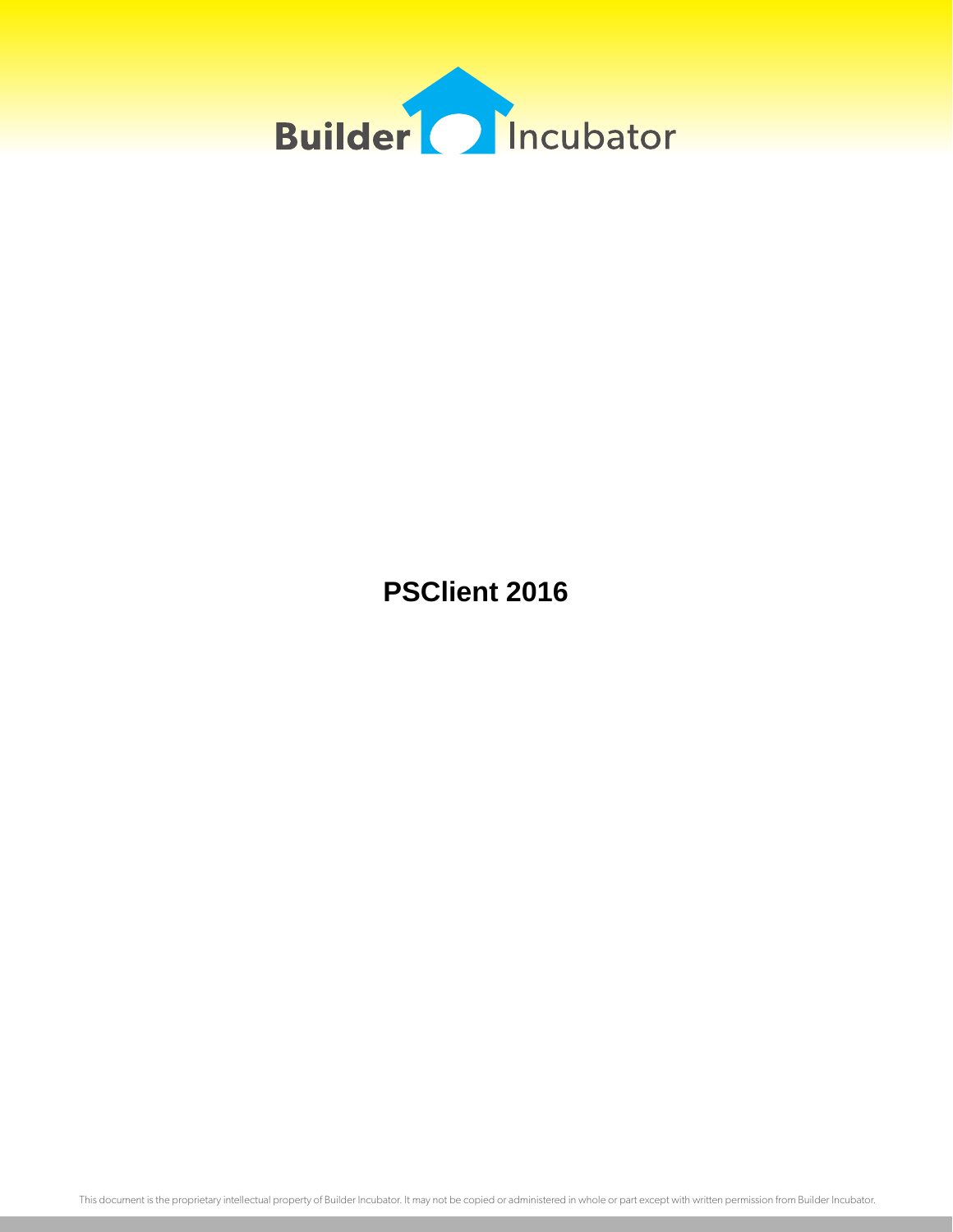

**PSClient 2016**

This document is the proprietary intellectual property of Builder Incubator. It may not be copied or administered in whole or part except with written permission from Builder Incubator.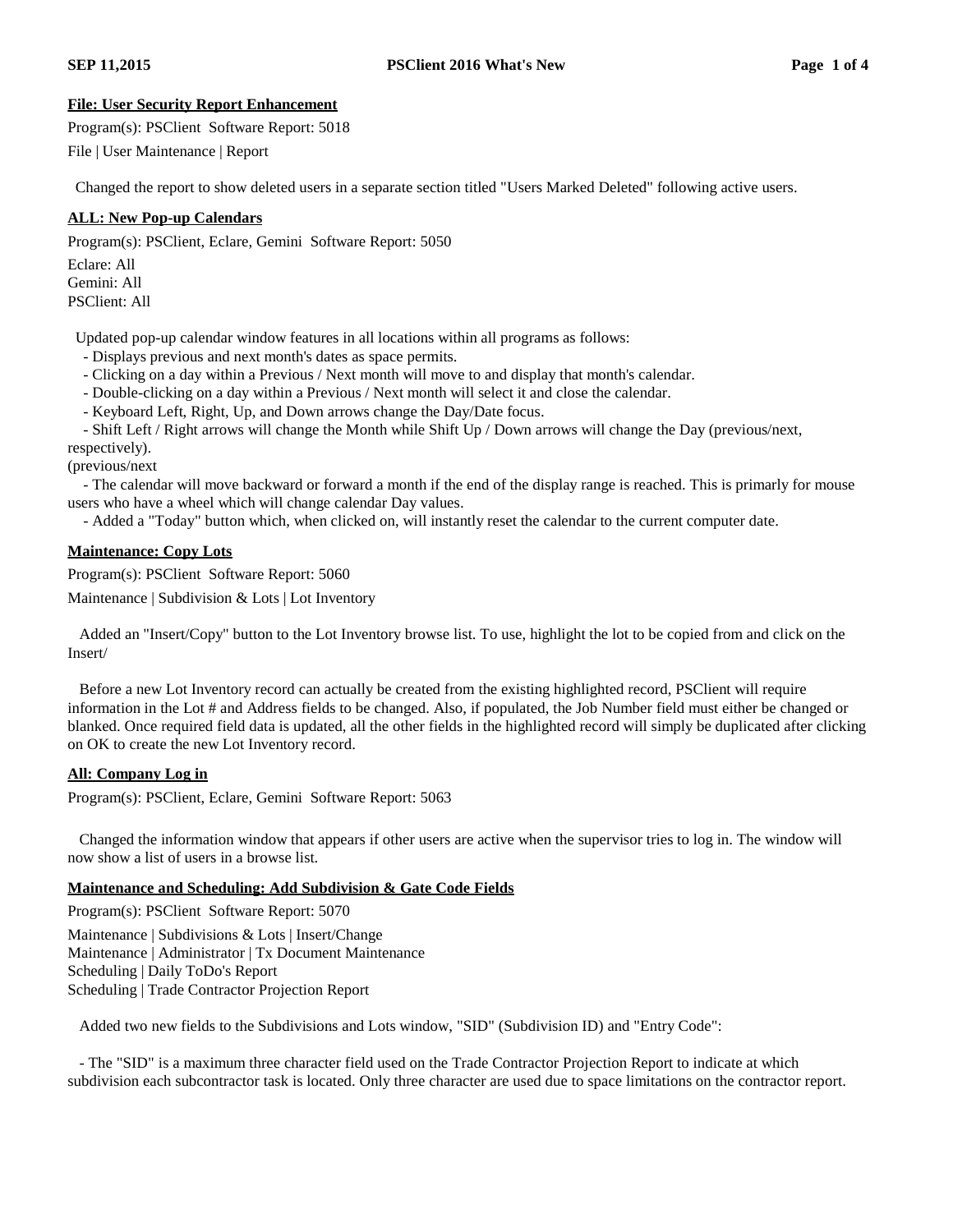## **File: User Security Report Enhancement**

Program(s): PSClient Software Report: 5018

File | User Maintenance | Report

Changed the report to show deleted users in a separate section titled "Users Marked Deleted" following active users.

# **ALL: New Pop-up Calendars**

Program(s): PSClient, Eclare, Gemini Software Report: 5050

Eclare: All Gemini: All PSClient: All

Updated pop-up calendar window features in all locations within all programs as follows:

- Displays previous and next month's dates as space permits.
- Clicking on a day within a Previous / Next month will move to and display that month's calendar.

- Double-clicking on a day within a Previous / Next month will select it and close the calendar.

- Keyboard Left, Right, Up, and Down arrows change the Day/Date focus.

- Shift Left / Right arrows will change the Month while Shift Up / Down arrows will change the Day (previous/next, respectively).

(previous/next

- The calendar will move backward or forward a month if the end of the display range is reached. This is primarly for mouse users who have a wheel which will change calendar Day values.

- Added a "Today" button which, when clicked on, will instantly reset the calendar to the current computer date.

# **Maintenance: Copy Lots**

Program(s): PSClient Software Report: 5060

Maintenance | Subdivision & Lots | Lot Inventory

Added an "Insert/Copy" button to the Lot Inventory browse list. To use, highlight the lot to be copied from and click on the Insert/

Before a new Lot Inventory record can actually be created from the existing highlighted record, PSClient will require information in the Lot # and Address fields to be changed. Also, if populated, the Job Number field must either be changed or blanked. Once required field data is updated, all the other fields in the highlighted record will simply be duplicated after clicking on OK to create the new Lot Inventory record.

# **All: Company Log in**

Program(s): PSClient, Eclare, Gemini Software Report: 5063

Changed the information window that appears if other users are active when the supervisor tries to log in. The window will now show a list of users in a browse list.

## **Maintenance and Scheduling: Add Subdivision & Gate Code Fields**

Program(s): PSClient Software Report: 5070 Maintenance | Subdivisions & Lots | Insert/Change Maintenance | Administrator | Tx Document Maintenance Scheduling | Daily ToDo's Report Scheduling | Trade Contractor Projection Report

Added two new fields to the Subdivisions and Lots window, "SID" (Subdivision ID) and "Entry Code":

- The "SID" is a maximum three character field used on the Trade Contractor Projection Report to indicate at which subdivision each subcontractor task is located. Only three character are used due to space limitations on the contractor report.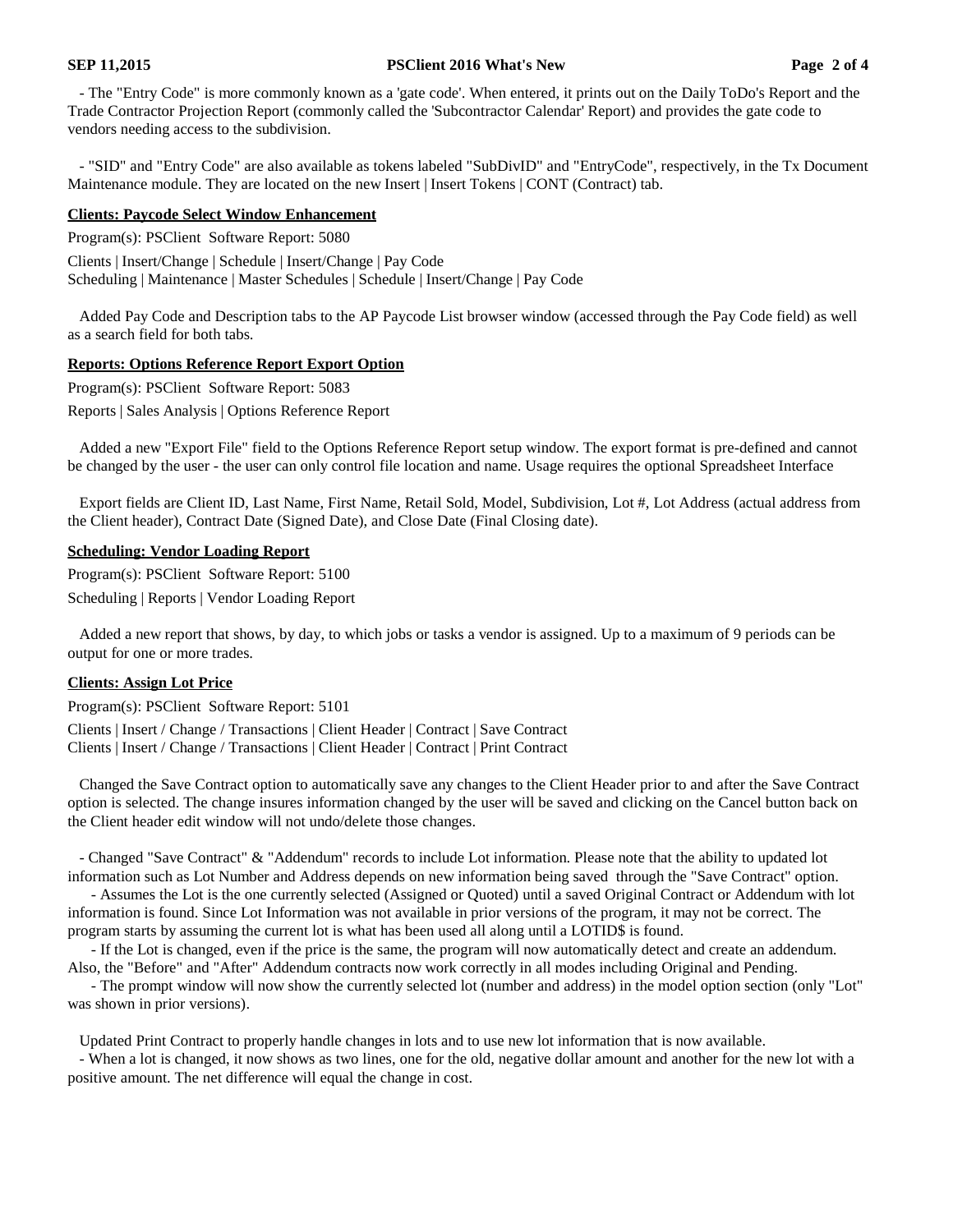#### **SEP 11,2015 PSClient 2016 What's New Page 2 of 4**

- The "Entry Code" is more commonly known as a 'gate code'. When entered, it prints out on the Daily ToDo's Report and the Trade Contractor Projection Report (commonly called the 'Subcontractor Calendar' Report) and provides the gate code to vendors needing access to the subdivision.

- "SID" and "Entry Code" are also available as tokens labeled "SubDivID" and "EntryCode", respectively, in the Tx Document Maintenance module. They are located on the new Insert | Insert Tokens | CONT (Contract) tab.

#### **Clients: Paycode Select Window Enhancement**

Program(s): PSClient Software Report: 5080

Clients | Insert/Change | Schedule | Insert/Change | Pay Code Scheduling | Maintenance | Master Schedules | Schedule | Insert/Change | Pay Code

Added Pay Code and Description tabs to the AP Paycode List browser window (accessed through the Pay Code field) as well as a search field for both tabs.

### **Reports: Options Reference Report Export Option**

Program(s): PSClient Software Report: 5083

Reports | Sales Analysis | Options Reference Report

Added a new "Export File" field to the Options Reference Report setup window. The export format is pre-defined and cannot be changed by the user - the user can only control file location and name. Usage requires the optional Spreadsheet Interface

Export fields are Client ID, Last Name, First Name, Retail Sold, Model, Subdivision, Lot #, Lot Address (actual address from the Client header), Contract Date (Signed Date), and Close Date (Final Closing date).

#### **Scheduling: Vendor Loading Report**

Program(s): PSClient Software Report: 5100 Scheduling | Reports | Vendor Loading Report

Added a new report that shows, by day, to which jobs or tasks a vendor is assigned. Up to a maximum of 9 periods can be output for one or more trades.

#### **Clients: Assign Lot Price**

Program(s): PSClient Software Report: 5101

Clients | Insert / Change / Transactions | Client Header | Contract | Save Contract Clients | Insert / Change / Transactions | Client Header | Contract | Print Contract

Changed the Save Contract option to automatically save any changes to the Client Header prior to and after the Save Contract option is selected. The change insures information changed by the user will be saved and clicking on the Cancel button back on the Client header edit window will not undo/delete those changes.

- Changed "Save Contract" & "Addendum" records to include Lot information. Please note that the ability to updated lot information such as Lot Number and Address depends on new information being saved through the "Save Contract" option.

- Assumes the Lot is the one currently selected (Assigned or Quoted) until a saved Original Contract or Addendum with lot information is found. Since Lot Information was not available in prior versions of the program, it may not be correct. The program starts by assuming the current lot is what has been used all along until a LOTID\$ is found.

- If the Lot is changed, even if the price is the same, the program will now automatically detect and create an addendum. Also, the "Before" and "After" Addendum contracts now work correctly in all modes including Original and Pending.

- The prompt window will now show the currently selected lot (number and address) in the model option section (only "Lot" was shown in prior versions).

Updated Print Contract to properly handle changes in lots and to use new lot information that is now available.

- When a lot is changed, it now shows as two lines, one for the old, negative dollar amount and another for the new lot with a positive amount. The net difference will equal the change in cost.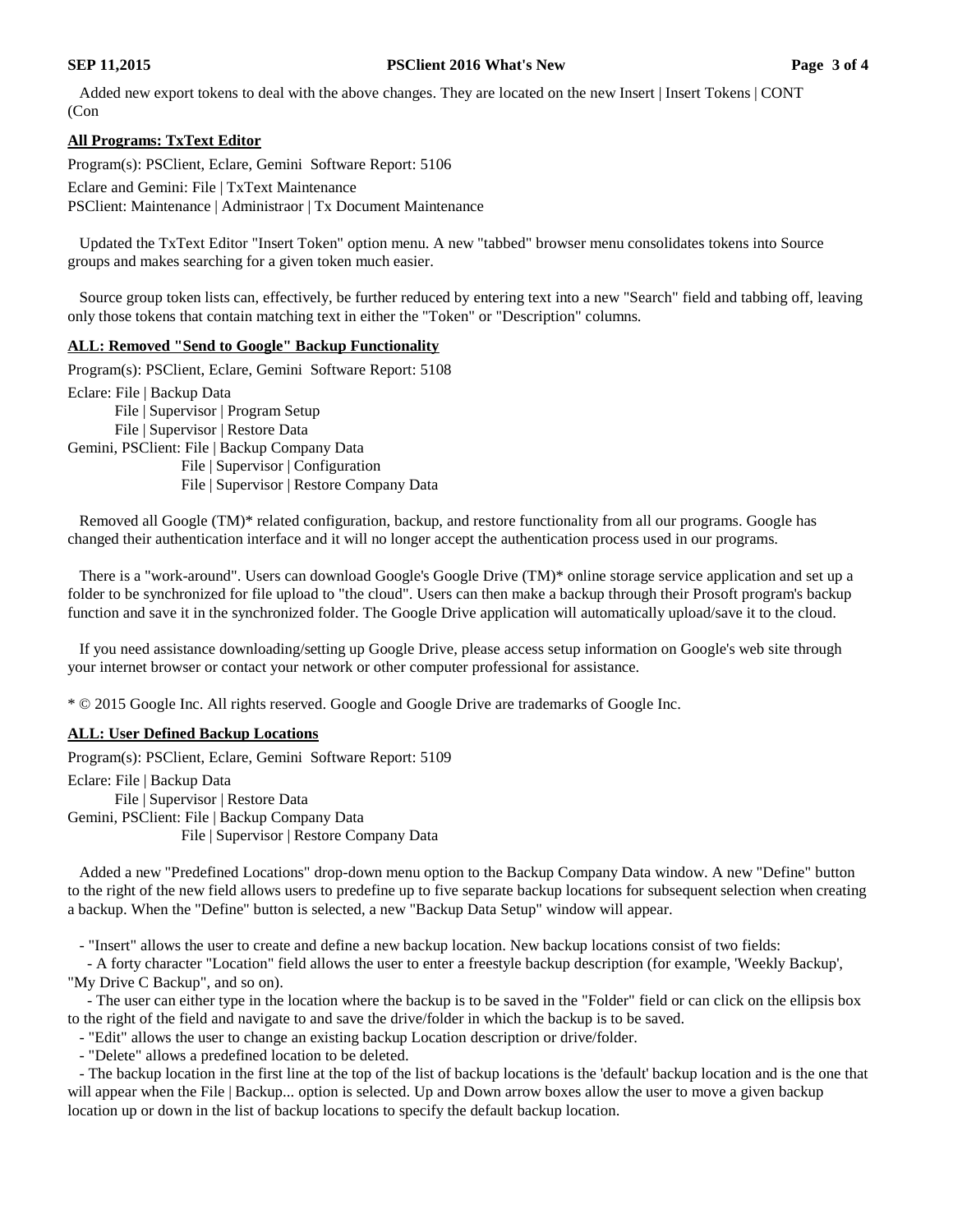Added new export tokens to deal with the above changes. They are located on the new Insert | Insert Tokens | CONT (Con

## **All Programs: TxText Editor**

Program(s): PSClient, Eclare, Gemini Software Report: 5106

Eclare and Gemini: File | TxText Maintenance PSClient: Maintenance | Administraor | Tx Document Maintenance

Updated the TxText Editor "Insert Token" option menu. A new "tabbed" browser menu consolidates tokens into Source groups and makes searching for a given token much easier.

Source group token lists can, effectively, be further reduced by entering text into a new "Search" field and tabbing off, leaving only those tokens that contain matching text in either the "Token" or "Description" columns.

### **ALL: Removed "Send to Google" Backup Functionality**

Program(s): PSClient, Eclare, Gemini Software Report: 5108 Eclare: File | Backup Data File | Supervisor | Program Setup File | Supervisor | Restore Data Gemini, PSClient: File | Backup Company Data File | Supervisor | Configuration File | Supervisor | Restore Company Data

Removed all Google (TM)\* related configuration, backup, and restore functionality from all our programs. Google has changed their authentication interface and it will no longer accept the authentication process used in our programs.

There is a "work-around". Users can download Google's Google Drive (TM)\* online storage service application and set up a folder to be synchronized for file upload to "the cloud". Users can then make a backup through their Prosoft program's backup function and save it in the synchronized folder. The Google Drive application will automatically upload/save it to the cloud.

If you need assistance downloading/setting up Google Drive, please access setup information on Google's web site through your internet browser or contact your network or other computer professional for assistance.

\* © 2015 Google Inc. All rights reserved. Google and Google Drive are trademarks of Google Inc.

## **ALL: User Defined Backup Locations**

Program(s): PSClient, Eclare, Gemini Software Report: 5109 Eclare: File | Backup Data File | Supervisor | Restore Data Gemini, PSClient: File | Backup Company Data File | Supervisor | Restore Company Data

Added a new "Predefined Locations" drop-down menu option to the Backup Company Data window. A new "Define" button to the right of the new field allows users to predefine up to five separate backup locations for subsequent selection when creating a backup. When the "Define" button is selected, a new "Backup Data Setup" window will appear.

- "Insert" allows the user to create and define a new backup location. New backup locations consist of two fields:

- A forty character "Location" field allows the user to enter a freestyle backup description (for example, 'Weekly Backup', "My Drive C Backup", and so on).

- The user can either type in the location where the backup is to be saved in the "Folder" field or can click on the ellipsis box to the right of the field and navigate to and save the drive/folder in which the backup is to be saved.

- "Edit" allows the user to change an existing backup Location description or drive/folder.

- "Delete" allows a predefined location to be deleted.

- The backup location in the first line at the top of the list of backup locations is the 'default' backup location and is the one that will appear when the File | Backup... option is selected. Up and Down arrow boxes allow the user to move a given backup location up or down in the list of backup locations to specify the default backup location.